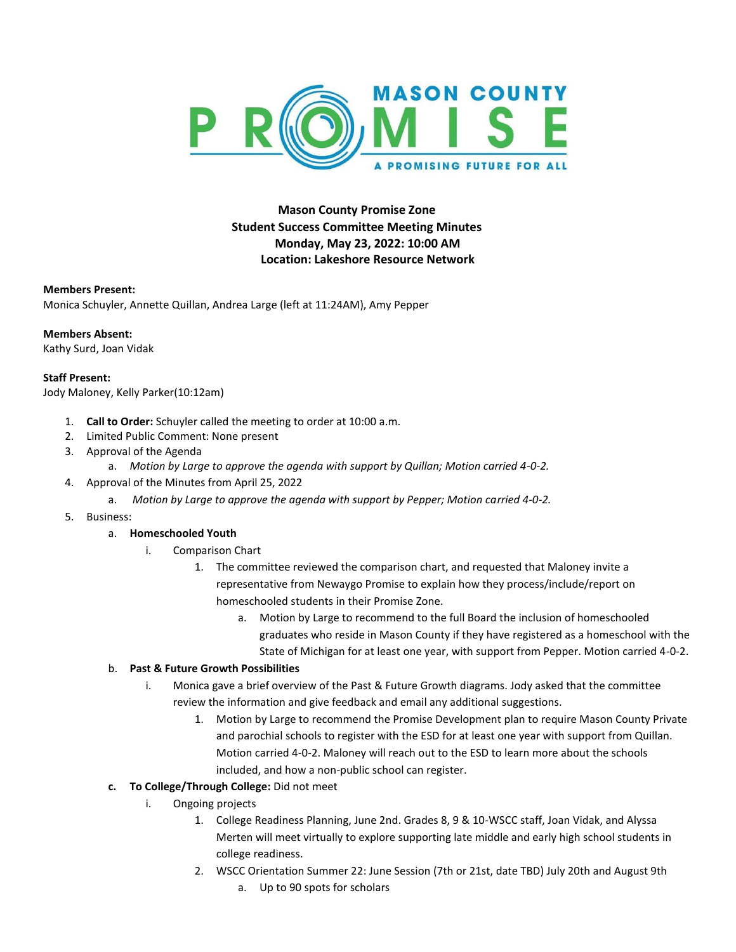

**Mason County Promise Zone Student Success Committee Meeting Minutes Monday, May 23, 2022: 10:00 AM Location: Lakeshore Resource Network**

## **Members Present:**

Monica Schuyler, Annette Quillan, Andrea Large (left at 11:24AM), Amy Pepper

**Members Absent:** Kathy Surd, Joan Vidak

**Staff Present:** 

Jody Maloney, Kelly Parker(10:12am)

- 1. **Call to Order:** Schuyler called the meeting to order at 10:00 a.m.
- 2. Limited Public Comment: None present
- 3. Approval of the Agenda
	- a. *Motion by Large to approve the agenda with support by Quillan; Motion carried 4-0-2.*
- 4. Approval of the Minutes from April 25, 2022
	- a. *Motion by Large to approve the agenda with support by Pepper; Motion carried 4-0-2.*
- 5. Business:

## a. **Homeschooled Youth**

- i. Comparison Chart
	- 1. The committee reviewed the comparison chart, and requested that Maloney invite a representative from Newaygo Promise to explain how they process/include/report on homeschooled students in their Promise Zone.
		- a. Motion by Large to recommend to the full Board the inclusion of homeschooled graduates who reside in Mason County if they have registered as a homeschool with the State of Michigan for at least one year, with support from Pepper. Motion carried 4-0-2.

## b. **Past & Future Growth Possibilities**

- i. Monica gave a brief overview of the Past & Future Growth diagrams. Jody asked that the committee review the information and give feedback and email any additional suggestions.
	- 1. Motion by Large to recommend the Promise Development plan to require Mason County Private and parochial schools to register with the ESD for at least one year with support from Quillan. Motion carried 4-0-2. Maloney will reach out to the ESD to learn more about the schools included, and how a non-public school can register.

## **c. To College/Through College:** Did not meet

- i. Ongoing projects
	- 1. College Readiness Planning, June 2nd. Grades 8, 9 & 10-WSCC staff, Joan Vidak, and Alyssa Merten will meet virtually to explore supporting late middle and early high school students in college readiness.
	- 2. WSCC Orientation Summer 22: June Session (7th or 21st, date TBD) July 20th and August 9th
		- a. Up to 90 spots for scholars